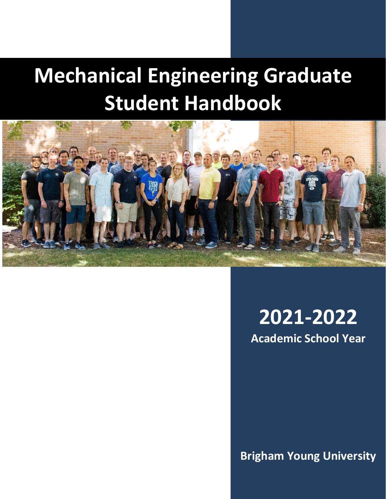# **Mechanical Engineering Graduate Student Handbook**



## **2021-2022 Academic School Year**

**Brigham Young University**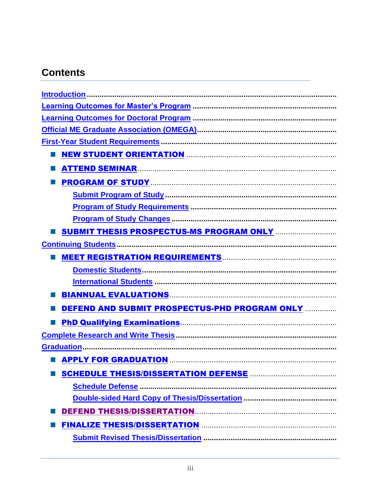## **Contents**

| <b>NEW STUDENT ORIENTATION MANUFARY CONTROL STUDENT ORIENTATION</b> |
|---------------------------------------------------------------------|
|                                                                     |
|                                                                     |
|                                                                     |
|                                                                     |
|                                                                     |
|                                                                     |
|                                                                     |
|                                                                     |
|                                                                     |
|                                                                     |
| BIANNUAL EVALUATIONS ENTIRE AND THE RESERVE BLANNUAL EVALUATIONS    |
| DEFEND AND SUBMIT PROSPECTUS-PHD PROGRAM ONLY                       |
|                                                                     |
|                                                                     |
|                                                                     |
|                                                                     |
|                                                                     |
|                                                                     |
|                                                                     |
|                                                                     |
|                                                                     |
|                                                                     |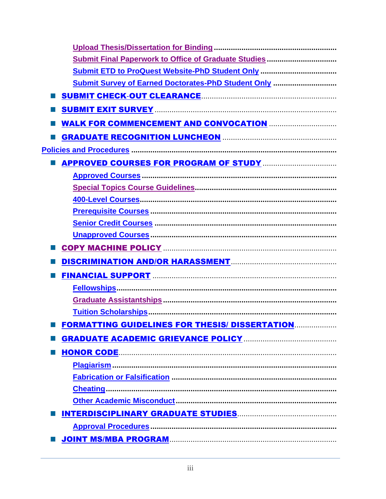| <b>Submit ETD to ProQuest Website-PhD Student Only </b>                            |
|------------------------------------------------------------------------------------|
| <b>Submit Survey of Earned Doctorates-PhD Student Only </b>                        |
|                                                                                    |
|                                                                                    |
| <b>WALK FOR COMMENCEMENT AND CONVOCATION MALK FOR COMMENCEMENT AND CONVOCATION</b> |
|                                                                                    |
|                                                                                    |
|                                                                                    |
|                                                                                    |
|                                                                                    |
|                                                                                    |
|                                                                                    |
|                                                                                    |
|                                                                                    |
|                                                                                    |
|                                                                                    |
|                                                                                    |
|                                                                                    |
|                                                                                    |
|                                                                                    |
| <b>FORMATTING GUIDELINES FOR THESIS/ DISSERTATION</b>                              |
|                                                                                    |
|                                                                                    |
|                                                                                    |
|                                                                                    |
|                                                                                    |
|                                                                                    |
|                                                                                    |
|                                                                                    |
|                                                                                    |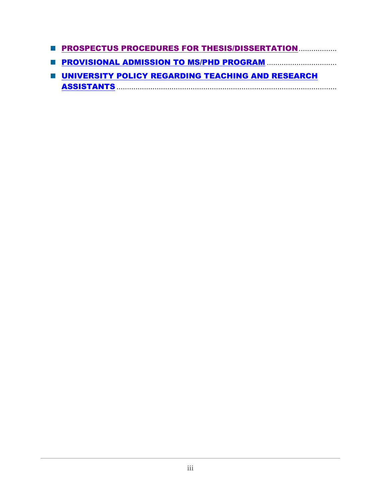- **PROSPECTUS PROCEDURES FOR THESIS/DISSERTATION.................**
- **PROVISIONAL ADMISSION TO MS/PHD PROGRAM ............................**
- **UNIVERSITY POLICY REGARDING TEACHING AND RESEARCH** ASSISTANTS ........................................................................................................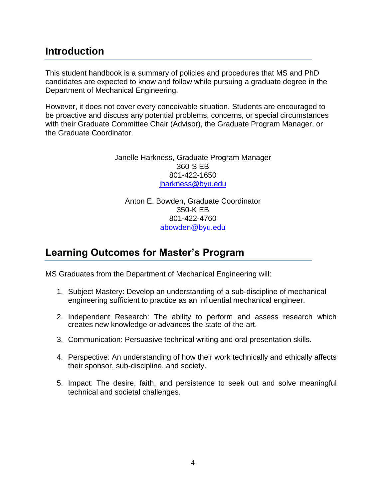## **Introduction**

This student handbook is a summary of policies and procedures that MS and PhD candidates are expected to know and follow while pursuing a graduate degree in the Department of Mechanical Engineering.

However, it does not cover every conceivable situation. Students are encouraged to be proactive and discuss any potential problems, concerns, or special circumstances with their Graduate Committee Chair (Advisor), the Graduate Program Manager, or the Graduate Coordinator.

> Janelle Harkness, Graduate Program Manager 360-S EB 801-422-1650 jharkness@byu.edu

Anton E. Bowden, Graduate Coordinator 350-K EB 801-422-4760 abowden@byu.edu

## **Learning Outcomes for Master's Program**

MS Graduates from the Department of Mechanical Engineering will:

- 1. Subject Mastery: Develop an understanding of a sub-discipline of mechanical engineering sufficient to practice as an influential mechanical engineer.
- 2. Independent Research: The ability to perform and assess research which creates new knowledge or advances the state-of-the-art.
- 3. Communication: Persuasive technical writing and oral presentation skills.
- 4. Perspective: An understanding of how their work technically and ethically affects their sponsor, sub-discipline, and society.
- 5. Impact: The desire, faith, and persistence to seek out and solve meaningful technical and societal challenges.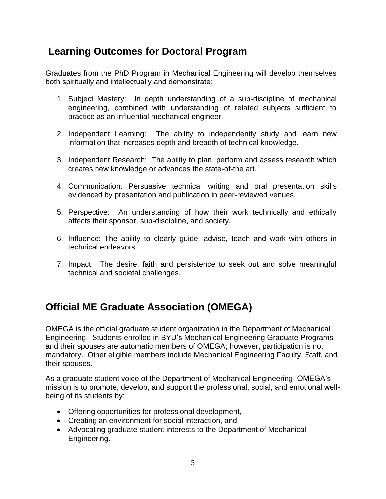## **Learning Outcomes for Doctoral Program**

Graduates from the PhD Program in Mechanical Engineering will develop themselves both spiritually and intellectually and demonstrate:

- 1. Subject Mastery: In depth understanding of a sub-discipline of mechanical engineering, combined with understanding of related subjects sufficient to practice as an influential mechanical engineer.
- 2. Independent Learning: The ability to independently study and learn new information that increases depth and breadth of technical knowledge.
- 3. Independent Research: The ability to plan, perform and assess research which creates new knowledge or advances the state-of-the art.
- 4. Communication: Persuasive technical writing and oral presentation skills evidenced by presentation and publication in peer-reviewed venues.
- 5. Perspective: An understanding of how their work technically and ethically affects their sponsor, sub-discipline, and society.
- 6. Influence: The ability to clearly guide, advise, teach and work with others in technical endeavors.
- 7. Impact: The desire, faith and persistence to seek out and solve meaningful technical and societal challenges.

## **Official ME Graduate Association (OMEGA)**

OMEGA is the official graduate student organization in the Department of Mechanical Engineering. Students enrolled in BYU's Mechanical Engineering Graduate Programs and their spouses are automatic members of OMEGA; however, participation is not mandatory. Other eligible members include Mechanical Engineering Faculty, Staff, and their spouses.

As a graduate student voice of the Department of Mechanical Engineering, OMEGA's mission is to promote, develop, and support the professional, social, and emotional wellbeing of its students by:

- Offering opportunities for professional development,
- Creating an environment for social interaction, and
- Advocating graduate student interests to the Department of Mechanical Engineering.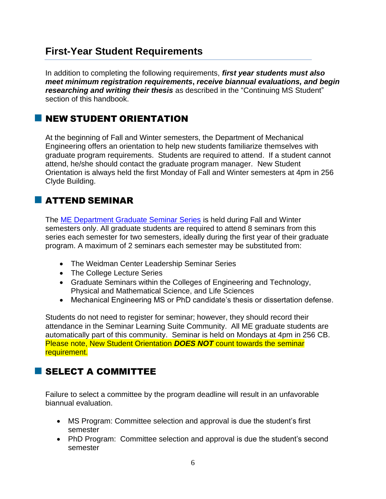## **First-Year Student Requirements**

In addition to completing the following requirements, *first year students must also meet minimum registration requirements***,** *receive biannual evaluations, and begin researching and writing their thesis* as described in the "Continuing MS Student" section of this handbook.

## **NEW STUDENT ORIENTATION**

At the beginning of Fall and Winter semesters, the Department of Mechanical Engineering offers an orientation to help new students familiarize themselves with graduate program requirements. Students are required to attend. If a student cannot attend, he/she should contact the graduate program manager. New Student Orientation is always held the first Monday of Fall and Winter semesters at 4pm in 256 Clyde Building.

## ATTEND SEMINAR

The ME Department Graduate Seminar Series is held during Fall and Winter semesters only. All graduate students are required to attend 8 seminars from this series each semester for two semesters, ideally during the first year of their graduate program. A maximum of 2 seminars each semester may be substituted from:

- The Weidman Center Leadership Seminar Series
- The College Lecture Series
- Graduate Seminars within the Colleges of Engineering and Technology, Physical and Mathematical Science, and Life Sciences
- Mechanical Engineering MS or PhD candidate's thesis or dissertation defense.

Students do not need to register for seminar; however, they should record their attendance in the Seminar Learning Suite Community. All ME graduate students are automatically part of this community. Seminar is held on Mondays at 4pm in 256 CB. Please note, New Student Orientation *DOES NOT* count towards the seminar requirement.

## SELECT A COMMITTEE

Failure to select a committee by the program deadline will result in an unfavorable biannual evaluation.

- MS Program: Committee selection and approval is due the student's first semester
- PhD Program: Committee selection and approval is due the student's second semester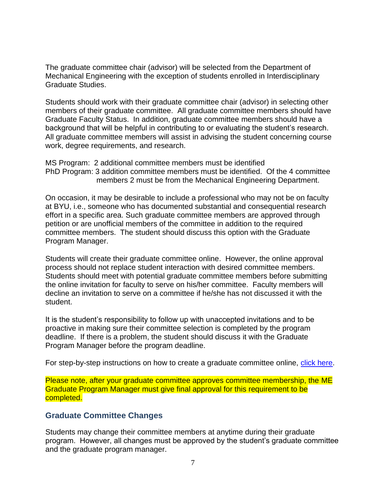The graduate committee chair (advisor) will be selected from the Department of Mechanical Engineering with the exception of students enrolled in Interdisciplinary Graduate Studies.

Students should work with their graduate committee chair (advisor) in selecting other members of their graduate committee. All graduate committee members should have Graduate Faculty Status. In addition, graduate committee members should have a background that will be helpful in contributing to or evaluating the student's research. All graduate committee members will assist in advising the student concerning course work, degree requirements, and research.

MS Program: 2 additional committee members must be identified PhD Program: 3 addition committee members must be identified. Of the 4 committee members 2 must be from the Mechanical Engineering Department.

On occasion, it may be desirable to include a professional who may not be on faculty at BYU, i.e., someone who has documented substantial and consequential research effort in a specific area. Such graduate committee members are approved through petition or are unofficial members of the committee in addition to the required committee members. The student should discuss this option with the Graduate Program Manager.

Students will create their graduate committee online. However, the online approval process should not replace student interaction with desired committee members. Students should meet with potential graduate committee members before submitting the online invitation for faculty to serve on his/her committee. Faculty members will decline an invitation to serve on a committee if he/she has not discussed it with the student.

It is the student's responsibility to follow up with unaccepted invitations and to be proactive in making sure their committee selection is completed by the program deadline. If there is a problem, the student should discuss it with the Graduate Program Manager before the program deadline.

For step-by-step instructions on how to create a graduate committee online, click here.

Please note, after your graduate committee approves committee membership, the ME Graduate Program Manager must give final approval for this requirement to be completed.

#### **Graduate Committee Changes**

Students may change their committee members at anytime during their graduate program. However, all changes must be approved by the student's graduate committee and the graduate program manager.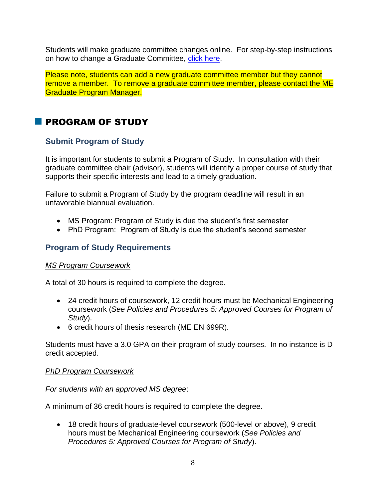Students will make graduate committee changes online. For step-by-step instructions on how to change a Graduate Committee, click here.

Please note, students can add a new graduate committee member but they cannot remove a member. To remove a graduate committee member, please contact the ME Graduate Program Manager.

## **PROGRAM OF STUDY**

#### **Submit Program of Study**

It is important for students to submit a Program of Study. In consultation with their graduate committee chair (advisor), students will identify a proper course of study that supports their specific interests and lead to a timely graduation.

Failure to submit a Program of Study by the program deadline will result in an unfavorable biannual evaluation.

- MS Program: Program of Study is due the student's first semester
- PhD Program: Program of Study is due the student's second semester

#### **Program of Study Requirements**

#### *MS Program Coursework*

A total of 30 hours is required to complete the degree.

- 24 credit hours of coursework, 12 credit hours must be Mechanical Engineering coursework (*See Policies and Procedures 5: Approved Courses for Program of Study*).
- 6 credit hours of thesis research (ME EN 699R).

Students must have a 3.0 GPA on their program of study courses. In no instance is D credit accepted.

#### *PhD Program Coursework*

*For students with an approved MS degree*:

A minimum of 36 credit hours is required to complete the degree.

• 18 credit hours of graduate-level coursework (500-level or above), 9 credit hours must be Mechanical Engineering coursework (*See Policies and Procedures 5: Approved Courses for Program of Study*).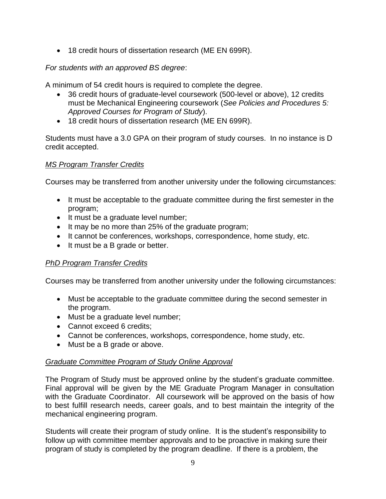• 18 credit hours of dissertation research (ME EN 699R).

#### *For students with an approved BS degree*:

A minimum of 54 credit hours is required to complete the degree.

- 36 credit hours of graduate-level coursework (500-level or above), 12 credits must be Mechanical Engineering coursework (*See Policies and Procedures 5: Approved Courses for Program of Study*).
- 18 credit hours of dissertation research (ME EN 699R).

Students must have a 3.0 GPA on their program of study courses. In no instance is D credit accepted.

#### *MS Program Transfer Credits*

Courses may be transferred from another university under the following circumstances:

- It must be acceptable to the graduate committee during the first semester in the program;
- It must be a graduate level number;
- It may be no more than 25% of the graduate program;
- It cannot be conferences, workshops, correspondence, home study, etc.
- It must be a B grade or better.

#### *PhD Program Transfer Credits*

Courses may be transferred from another university under the following circumstances:

- Must be acceptable to the graduate committee during the second semester in the program.
- Must be a graduate level number;
- Cannot exceed 6 credits;
- Cannot be conferences, workshops, correspondence, home study, etc.
- Must be a B grade or above.

#### *Graduate Committee Program of Study Online Approval*

The Program of Study must be approved online by the student's graduate committee. Final approval will be given by the ME Graduate Program Manager in consultation with the Graduate Coordinator. All coursework will be approved on the basis of how to best fulfill research needs, career goals, and to best maintain the integrity of the mechanical engineering program.

Students will create their program of study online. It is the student's responsibility to follow up with committee member approvals and to be proactive in making sure their program of study is completed by the program deadline. If there is a problem, the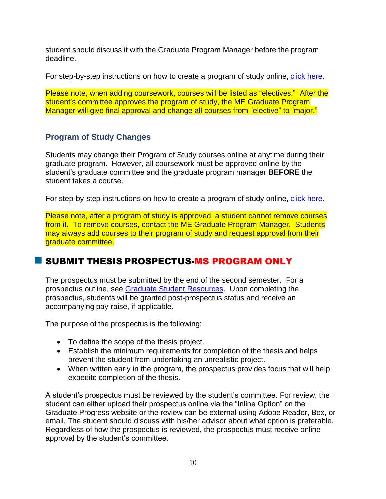student should discuss it with the Graduate Program Manager before the program deadline.

For step-by-step instructions on how to create a program of study online, click here.

Please note, when adding coursework, courses will be listed as "electives." After the student's committee approves the program of study, the ME Graduate Program Manager will give final approval and change all courses from "elective" to "major."

#### **Program of Study Changes**

Students may change their Program of Study courses online at anytime during their graduate program. However, all coursework must be approved online by the student's graduate committee and the graduate program manager **BEFORE** the student takes a course.

For step-by-step instructions on how to create a program of study online, click here.

Please note, after a program of study is approved, a student cannot remove courses from it. To remove courses, contact the ME Graduate Program Manager. Students may always add courses to their program of study and request approval from their graduate committee.

## SUBMIT THESIS PROSPECTUS-MS PROGRAM ONLY

The prospectus must be submitted by the end of the second semester. For a prospectus outline, see Graduate Student Resources. Upon completing the prospectus, students will be granted post-prospectus status and receive an accompanying pay-raise, if applicable.

The purpose of the prospectus is the following:

- To define the scope of the thesis project.
- Establish the minimum requirements for completion of the thesis and helps prevent the student from undertaking an unrealistic project.
- When written early in the program, the prospectus provides focus that will help expedite completion of the thesis.

A student's prospectus must be reviewed by the student's committee. For review, the student can either upload their prospectus online via the "Inline Option" on the Graduate Progress website or the review can be external using Adobe Reader, Box, or email. The student should discuss with his/her advisor about what option is preferable. Regardless of how the prospectus is reviewed, the prospectus must receive online approval by the student's committee.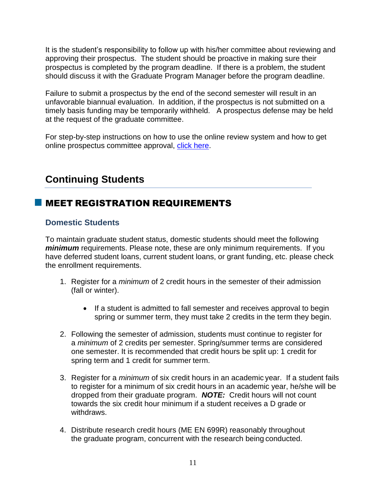It is the student's responsibility to follow up with his/her committee about reviewing and approving their prospectus. The student should be proactive in making sure their prospectus is completed by the program deadline. If there is a problem, the student should discuss it with the Graduate Program Manager before the program deadline.

Failure to submit a prospectus by the end of the second semester will result in an unfavorable biannual evaluation. In addition, if the prospectus is not submitted on a timely basis funding may be temporarily withheld. A prospectus defense may be held at the request of the graduate committee.

For step-by-step instructions on how to use the online review system and how to get online prospectus committee approval, click here.

## **Continuing Students**

## MEET REGISTRATION REQUIREMENTS

#### **Domestic Students**

To maintain graduate student status, domestic students should meet the following *minimum* requirements. Please note, these are only minimum requirements. If you have deferred student loans, current student loans, or grant funding, etc. please check the enrollment requirements.

- 1. Register for a *minimum* of 2 credit hours in the semester of their admission (fall or winter).
	- If a student is admitted to fall semester and receives approval to begin spring or summer term, they must take 2 credits in the term they begin.
- 2. Following the semester of admission, students must continue to register for a *minimum* of 2 credits per semester. Spring/summer terms are considered one semester. It is recommended that credit hours be split up: 1 credit for spring term and 1 credit for summer term.
- 3. Register for a *minimum* of six credit hours in an academic year. If a student fails to register for a minimum of six credit hours in an academic year, he/she will be dropped from their graduate program. *NOTE:* Credit hours will not count towards the six credit hour minimum if a student receives a D grade or withdraws.
- 4. Distribute research credit hours (ME EN 699R) reasonably throughout the graduate program, concurrent with the research being conducted.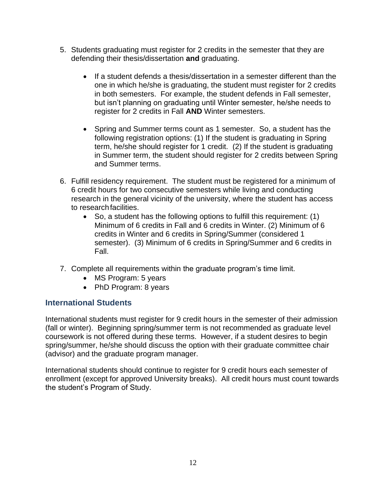- 5. Students graduating must register for 2 credits in the semester that they are defending their thesis/dissertation **and** graduating.
	- If a student defends a thesis/dissertation in a semester different than the one in which he/she is graduating, the student must register for 2 credits in both semesters. For example, the student defends in Fall semester, but isn't planning on graduating until Winter semester, he/she needs to register for 2 credits in Fall **AND** Winter semesters.
	- Spring and Summer terms count as 1 semester. So, a student has the following registration options: (1) If the student is graduating in Spring term, he/she should register for 1 credit. (2) If the student is graduating in Summer term, the student should register for 2 credits between Spring and Summer terms.
- 6. Fulfill residency requirement. The student must be registered for a minimum of 6 credit hours for two consecutive semesters while living and conducting research in the general vicinity of the university, where the student has access to research facilities.
	- So, a student has the following options to fulfill this requirement: (1) Minimum of 6 credits in Fall and 6 credits in Winter. (2) Minimum of 6 credits in Winter and 6 credits in Spring/Summer (considered 1 semester). (3) Minimum of 6 credits in Spring/Summer and 6 credits in Fall.
- 7. Complete all requirements within the graduate program's time limit.
	- MS Program: 5 years
	- PhD Program: 8 years

#### **International Students**

International students must register for 9 credit hours in the semester of their admission (fall or winter). Beginning spring/summer term is not recommended as graduate level coursework is not offered during these terms. However, if a student desires to begin spring/summer, he/she should discuss the option with their graduate committee chair (advisor) and the graduate program manager.

International students should continue to register for 9 credit hours each semester of enrollment (except for approved University breaks). All credit hours must count towards the student's Program of Study.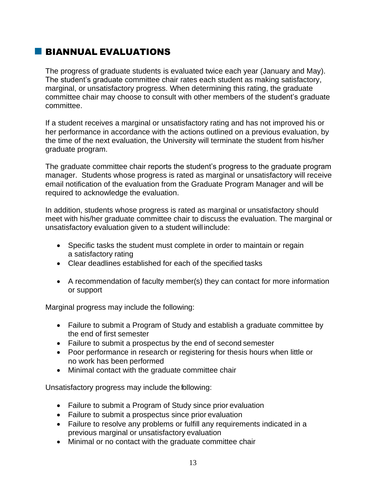## BIANNUAL EVALUATIONS

The progress of graduate students is evaluated twice each year (January and May). The student's graduate committee chair rates each student as making satisfactory, marginal, or unsatisfactory progress. When determining this rating, the graduate committee chair may choose to consult with other members of the student's graduate committee.

If a student receives a marginal or unsatisfactory rating and has not improved his or her performance in accordance with the actions outlined on a previous evaluation, by the time of the next evaluation, the University will terminate the student from his/her graduate program.

The graduate committee chair reports the student's progress to the graduate program manager. Students whose progress is rated as marginal or unsatisfactory will receive email notification of the evaluation from the Graduate Program Manager and will be required to acknowledge the evaluation.

In addition, students whose progress is rated as marginal or unsatisfactory should meet with his/her graduate committee chair to discuss the evaluation. The marginal or unsatisfactory evaluation given to a student will include:

- Specific tasks the student must complete in order to maintain or regain a satisfactory rating
- Clear deadlines established for each of the specified tasks
- A recommendation of faculty member(s) they can contact for more information or support

Marginal progress may include the following:

- Failure to submit a Program of Study and establish a graduate committee by the end of first semester
- Failure to submit a prospectus by the end of second semester
- Poor performance in research or registering for thesis hours when little or no work has been performed
- Minimal contact with the graduate committee chair

Unsatisfactory progress may include the following:

- Failure to submit a Program of Study since prior evaluation
- Failure to submit a prospectus since prior evaluation
- Failure to resolve any problems or fulfill any requirements indicated in a previous marginal or unsatisfactory evaluation
- Minimal or no contact with the graduate committee chair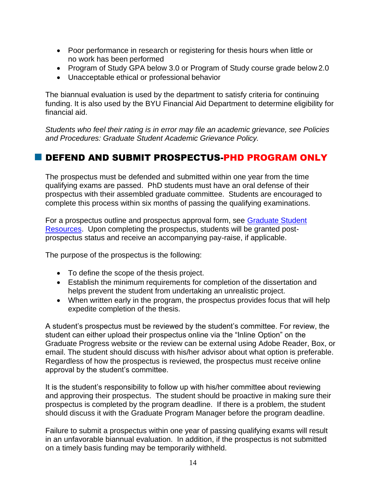- Poor performance in research or registering for thesis hours when little or no work has been performed
- Program of Study GPA below 3.0 or Program of Study course grade below 2.0
- Unacceptable ethical or professional behavior

The biannual evaluation is used by the department to satisfy criteria for continuing funding. It is also used by the BYU Financial Aid Department to determine eligibility for financial aid.

*Students who feel their rating is in error may file an academic grievance, see Policies and Procedures: Graduate Student Academic Grievance Policy.* 

## DEFEND AND SUBMIT PROSPECTUS-PHD PROGRAM ONLY

The prospectus must be defended and submitted within one year from the time qualifying exams are passed. PhD students must have an oral defense of their prospectus with their assembled graduate committee. Students are encouraged to complete this process within six months of passing the qualifying examinations.

For a prospectus outline and prospectus approval form, see Graduate Student Resources. Upon completing the prospectus, students will be granted postprospectus status and receive an accompanying pay-raise, if applicable.

The purpose of the prospectus is the following:

- To define the scope of the thesis project.
- Establish the minimum requirements for completion of the dissertation and helps prevent the student from undertaking an unrealistic project.
- When written early in the program, the prospectus provides focus that will help expedite completion of the thesis.

A student's prospectus must be reviewed by the student's committee. For review, the student can either upload their prospectus online via the "Inline Option" on the Graduate Progress website or the review can be external using Adobe Reader, Box, or email. The student should discuss with his/her advisor about what option is preferable. Regardless of how the prospectus is reviewed, the prospectus must receive online approval by the student's committee.

It is the student's responsibility to follow up with his/her committee about reviewing and approving their prospectus. The student should be proactive in making sure their prospectus is completed by the program deadline. If there is a problem, the student should discuss it with the Graduate Program Manager before the program deadline.

Failure to submit a prospectus within one year of passing qualifying exams will result in an unfavorable biannual evaluation. In addition, if the prospectus is not submitted on a timely basis funding may be temporarily withheld.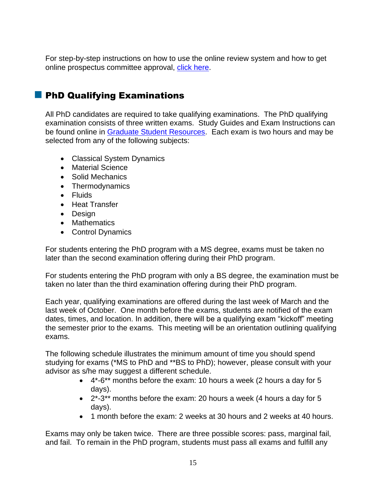For step-by-step instructions on how to use the online review system and how to get online prospectus committee approval, click here.

## **PhD Qualifying Examinations**

All PhD candidates are required to take qualifying examinations. The PhD qualifying examination consists of three written exams. Study Guides and Exam Instructions can be found online in Graduate Student Resources. Each exam is two hours and may be selected from any of the following subjects:

- Classical System Dynamics
- Material Science
- Solid Mechanics
- Thermodynamics
- Fluids
- Heat Transfer
- Design
- Mathematics
- Control Dynamics

For students entering the PhD program with a MS degree, exams must be taken no later than the second examination offering during their PhD program.

For students entering the PhD program with only a BS degree, the examination must be taken no later than the third examination offering during their PhD program.

Each year, qualifying examinations are offered during the last week of March and the last week of October. One month before the exams, students are notified of the exam dates, times, and location. In addition, there will be a qualifying exam "kickoff" meeting the semester prior to the exams. This meeting will be an orientation outlining qualifying exams.

The following schedule illustrates the minimum amount of time you should spend studying for exams (\*MS to PhD and \*\*BS to PhD); however, please consult with your advisor as s/he may suggest a different schedule.

- 4\*-6\*\* months before the exam: 10 hours a week (2 hours a day for 5 days).
- 2\*-3\*\* months before the exam: 20 hours a week (4 hours a day for 5 days).
- 1 month before the exam: 2 weeks at 30 hours and 2 weeks at 40 hours.

Exams may only be taken twice. There are three possible scores: pass, marginal fail, and fail. To remain in the PhD program, students must pass all exams and fulfill any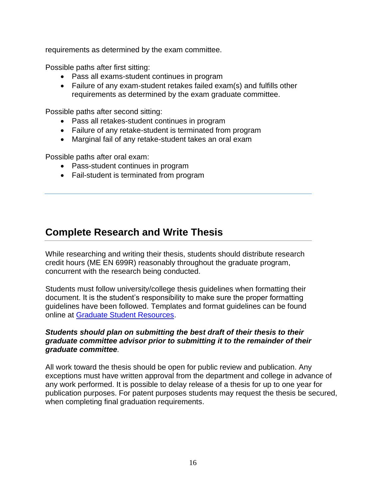requirements as determined by the exam committee.

Possible paths after first sitting:

- Pass all exams-student continues in program
- Failure of any exam-student retakes failed exam(s) and fulfills other requirements as determined by the exam graduate committee.

Possible paths after second sitting:

- Pass all retakes-student continues in program
- Failure of any retake-student is terminated from program
- Marginal fail of any retake-student takes an oral exam

Possible paths after oral exam:

- Pass-student continues in program
- Fail-student is terminated from program

## **Complete Research and Write Thesis**

While researching and writing their thesis, students should distribute research credit hours (ME EN 699R) reasonably throughout the graduate program, concurrent with the research being conducted.

Students must follow university/college thesis guidelines when formatting their document. It is the student's responsibility to make sure the proper formatting guidelines have been followed. Templates and format guidelines can be found online at Graduate Student Resources.

#### *Students should plan on submitting the best draft of their thesis to their graduate committee advisor prior to submitting it to the remainder of their graduate committee.*

All work toward the thesis should be open for public review and publication. Any exceptions must have written approval from the department and college in advance of any work performed. It is possible to delay release of a thesis for up to one year for publication purposes. For patent purposes students may request the thesis be secured, when completing final graduation requirements.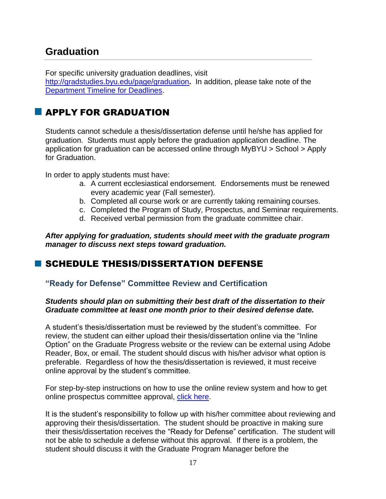## **Graduation**

For specific university graduation deadlines, visit http://gradstudies.byu.edu/page/graduation**.** In addition, please take note of the Department Timeline for Deadlines.

## **APPLY FOR GRADUATION**

Students cannot schedule a thesis/dissertation defense until he/she has applied for graduation. Students must apply before the graduation application deadline. The application for graduation can be accessed online through MyBYU > School > Apply for Graduation.

In order to apply students must have:

- a. A current ecclesiastical endorsement. Endorsements must be renewed every academic year (Fall semester).
- b. Completed all course work or are currently taking remaining courses.
- c. Completed the Program of Study, Prospectus, and Seminar requirements.
- d. Received verbal permission from the graduate committee chair.

*After applying for graduation, students should meet with the graduate program manager to discuss next steps toward graduation.*

## **SCHEDULE THESIS/DISSERTATION DEFENSE**

#### **"Ready for Defense" Committee Review and Certification**

#### *Students should plan on submitting their best draft of the dissertation to their Graduate committee at least one month prior to their desired defense date.*

A student's thesis/dissertation must be reviewed by the student's committee. For review, the student can either upload their thesis/dissertation online via the "Inline Option" on the Graduate Progress website or the review can be external using Adobe Reader, Box, or email. The student should discus with his/her advisor what option is preferable. Regardless of how the thesis/dissertation is reviewed, it must receive online approval by the student's committee.

For step-by-step instructions on how to use the online review system and how to get online prospectus committee approval, click here.

It is the student's responsibility to follow up with his/her committee about reviewing and approving their thesis/dissertation. The student should be proactive in making sure their thesis/dissertation receives the "Ready for Defense" certification. The student will not be able to schedule a defense without this approval. If there is a problem, the student should discuss it with the Graduate Program Manager before the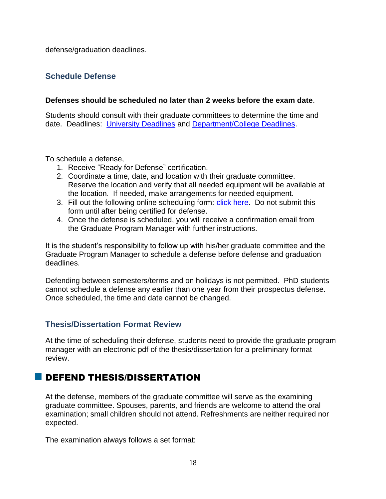defense/graduation deadlines.

#### **Schedule Defense**

#### **Defenses should be scheduled no later than 2 weeks before the exam date**.

Students should consult with their graduate committees to determine the time and date. Deadlines: University Deadlines and Department/College Deadlines.

To schedule a defense,

- 1. Receive "Ready for Defense" certification.
- 2. Coordinate a time, date, and location with their graduate committee. Reserve the location and verify that all needed equipment will be available at the location. If needed, make arrangements for needed equipment.
- 3. Fill out the following online scheduling form: click here. Do not submit this form until after being certified for defense.
- 4. Once the defense is scheduled, you will receive a confirmation email from the Graduate Program Manager with further instructions.

It is the student's responsibility to follow up with his/her graduate committee and the Graduate Program Manager to schedule a defense before defense and graduation deadlines.

Defending between semesters/terms and on holidays is not permitted. PhD students cannot schedule a defense any earlier than one year from their prospectus defense. Once scheduled, the time and date cannot be changed.

#### **Thesis/Dissertation Format Review**

At the time of scheduling their defense, students need to provide the graduate program manager with an electronic pdf of the thesis/dissertation for a preliminary format review.

## **DEFEND THESIS/DISSERTATION**

At the defense, members of the graduate committee will serve as the examining graduate committee. Spouses, parents, and friends are welcome to attend the oral examination; small children should not attend. Refreshments are neither required nor expected.

The examination always follows a set format: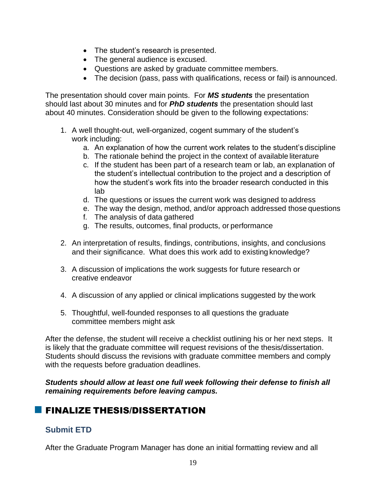- The student's research is presented.
- The general audience is excused.
- Questions are asked by graduate committee members.
- The decision (pass, pass with qualifications, recess or fail) is announced.

The presentation should cover main points. For *MS students* the presentation should last about 30 minutes and for *PhD students* the presentation should last about 40 minutes. Consideration should be given to the following expectations:

- 1. A well thought-out, well-organized, cogent summary of the student's work including:
	- a. An explanation of how the current work relates to the student's discipline
	- b. The rationale behind the project in the context of available literature
	- c. If the student has been part of a research team or lab, an explanation of the student's intellectual contribution to the project and a description of how the student's work fits into the broader research conducted in this lab
	- d. The questions or issues the current work was designed to address
	- e. The way the design, method, and/or approach addressed those questions
	- f. The analysis of data gathered
	- g. The results, outcomes, final products, or performance
- 2. An interpretation of results, findings, contributions, insights, and conclusions and their significance. What does this work add to existing knowledge?
- 3. A discussion of implications the work suggests for future research or creative endeavor
- 4. A discussion of any applied or clinical implications suggested by the work
- 5. Thoughtful, well-founded responses to all questions the graduate committee members might ask

After the defense, the student will receive a checklist outlining his or her next steps. It is likely that the graduate committee will request revisions of the thesis/dissertation. Students should discuss the revisions with graduate committee members and comply with the requests before graduation deadlines.

*Students should allow at least one full week following their defense to finish all remaining requirements before leaving campus.*

## **FINALIZE THESIS/DISSERTATION**

#### **Submit ETD**

After the Graduate Program Manager has done an initial formatting review and all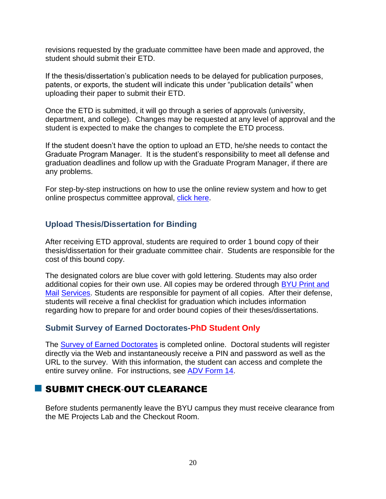revisions requested by the graduate committee have been made and approved, the student should submit their ETD.

If the thesis/dissertation's publication needs to be delayed for publication purposes, patents, or exports, the student will indicate this under "publication details" when uploading their paper to submit their ETD.

Once the ETD is submitted, it will go through a series of approvals (university, department, and college). Changes may be requested at any level of approval and the student is expected to make the changes to complete the ETD process.

If the student doesn't have the option to upload an ETD, he/she needs to contact the Graduate Program Manager. It is the student's responsibility to meet all defense and graduation deadlines and follow up with the Graduate Program Manager, if there are any problems.

For step-by-step instructions on how to use the online review system and how to get online prospectus committee approval, click here.

#### **Upload Thesis/Dissertation for Binding**

After receiving ETD approval, students are required to order 1 bound copy of their thesis/dissertation for their graduate committee chair. Students are responsible for the cost of this bound copy.

The designated colors are blue cover with gold lettering. Students may also order additional copies for their own use. All copies may be ordered through BYU Print and Mail Services. Students are responsible for payment of all copies. After their defense, students will receive a final checklist for graduation which includes information regarding how to prepare for and order bound copies of their theses/dissertations.

#### **Submit Survey of Earned Doctorates-PhD Student Only**

The **Survey of Earned Doctorates** is completed online. Doctoral students will register directly via the Web and instantaneously receive a PIN and password as well as the URL to the survey. With this information, the student can access and complete the entire survey online. For instructions, see ADV Form 14.

## **SUBMIT CHECK-OUT CLEARANCE**

Before students permanently leave the BYU campus they must receive clearance from the ME Projects Lab and the Checkout Room.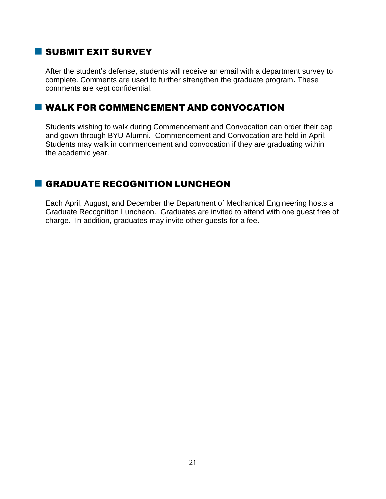## SUBMIT EXIT SURVEY

After the student's defense, students will receive an email with a department survey to complete. Comments are used to further strengthen the graduate program**.** These comments are kept confidential.

#### **U** WALK FOR COMMENCEMENT AND CONVOCATION

Students wishing to walk during Commencement and Convocation can order their cap and gown through BYU Alumni. Commencement and Convocation are held in April. Students may walk in commencement and convocation if they are graduating within the academic year.

## **GRADUATE RECOGNITION LUNCHEON**

Each April, August, and December the Department of Mechanical Engineering hosts a Graduate Recognition Luncheon. Graduates are invited to attend with one guest free of charge. In addition, graduates may invite other guests for a fee.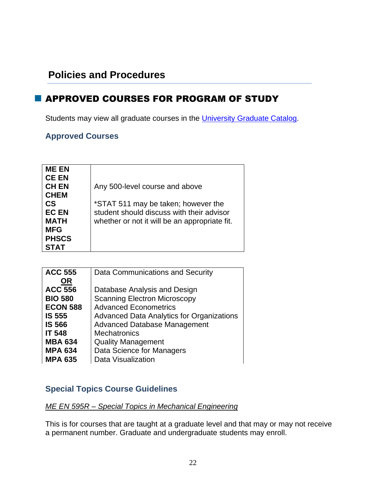## **Policies and Procedures**

## **APPROVED COURSES FOR PROGRAM OF STUDY**

Students may view all graduate courses in the University Graduate Catalog.

## **Approved Courses**

| <b>ME EN</b> |                                               |
|--------------|-----------------------------------------------|
| <b>CE EN</b> |                                               |
| <b>CH EN</b> | Any 500-level course and above                |
| <b>CHEM</b>  |                                               |
| <b>CS</b>    | *STAT 511 may be taken; however the           |
| <b>EC EN</b> | student should discuss with their advisor     |
| <b>MATH</b>  | whether or not it will be an appropriate fit. |
| <b>MFG</b>   |                                               |
| <b>PHSCS</b> |                                               |
| <b>STAT</b>  |                                               |
|              |                                               |

| <b>ACC 555</b>  | Data Communications and Security                 |
|-----------------|--------------------------------------------------|
| <b>OR</b>       |                                                  |
| <b>ACC 556</b>  | Database Analysis and Design                     |
| <b>BIO 580</b>  | <b>Scanning Electron Microscopy</b>              |
| <b>ECON 588</b> | <b>Advanced Econometrics</b>                     |
| <b>IS 555</b>   | <b>Advanced Data Analytics for Organizations</b> |
| <b>IS 566</b>   | <b>Advanced Database Management</b>              |
| <b>IT 548</b>   | <b>Mechatronics</b>                              |
| <b>MBA 634</b>  | <b>Quality Management</b>                        |
| <b>MPA 634</b>  | Data Science for Managers                        |
| <b>MPA 635</b>  | Data Visualization                               |

#### **Special Topics Course Guidelines**

#### *ME EN 595R – Special Topics in Mechanical Engineering*

This is for courses that are taught at a graduate level and that may or may not receive a permanent number. Graduate and undergraduate students may enroll.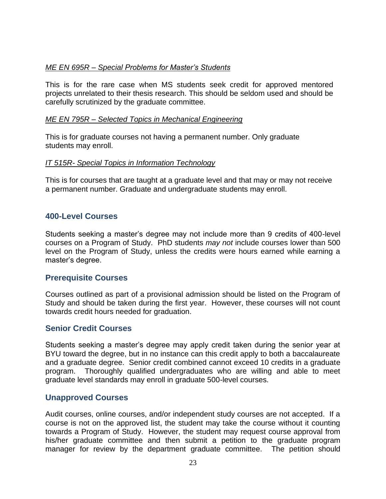#### *ME EN 695R – Special Problems for Master's Students*

This is for the rare case when MS students seek credit for approved mentored projects unrelated to their thesis research. This should be seldom used and should be carefully scrutinized by the graduate committee.

#### *ME EN 795R – Selected Topics in Mechanical Engineering*

This is for graduate courses not having a permanent number. Only graduate students may enroll.

#### *IT 515R- Special Topics in Information Technology*

This is for courses that are taught at a graduate level and that may or may not receive a permanent number. Graduate and undergraduate students may enroll.

#### **400-Level Courses**

Students seeking a master's degree may not include more than 9 credits of 400-level courses on a Program of Study. PhD students *may not* include courses lower than 500 level on the Program of Study, unless the credits were hours earned while earning a master's degree.

#### **Prerequisite Courses**

Courses outlined as part of a provisional admission should be listed on the Program of Study and should be taken during the first year. However, these courses will not count towards credit hours needed for graduation.

#### **Senior Credit Courses**

Students seeking a master's degree may apply credit taken during the senior year at BYU toward the degree, but in no instance can this credit apply to both a baccalaureate and a graduate degree. Senior credit combined cannot exceed 10 credits in a graduate program. Thoroughly qualified undergraduates who are willing and able to meet graduate level standards may enroll in graduate 500-level courses.

#### **Unapproved Courses**

Audit courses, online courses, and/or independent study courses are not accepted. If a course is not on the approved list, the student may take the course without it counting towards a Program of Study. However, the student may request course approval from his/her graduate committee and then submit a petition to the graduate program manager for review by the department graduate committee. The petition should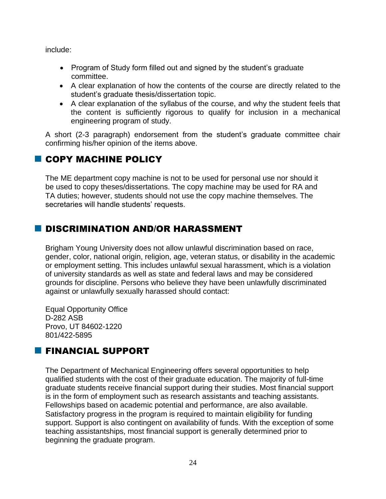include:

- Program of Study form filled out and signed by the student's graduate committee.
- A clear explanation of how the contents of the course are directly related to the student's graduate thesis/dissertation topic.
- A clear explanation of the syllabus of the course, and why the student feels that the content is sufficiently rigorous to qualify for inclusion in a mechanical engineering program of study.

A short (2-3 paragraph) endorsement from the student's graduate committee chair confirming his/her opinion of the items above.

## **COPY MACHINE POLICY**

The ME department copy machine is not to be used for personal use nor should it be used to copy theses/dissertations. The copy machine may be used for RA and TA duties; however, students should not use the copy machine themselves. The secretaries will handle students' requests.

## **DISCRIMINATION AND/OR HARASSMENT**

Brigham Young University does not allow unlawful discrimination based on race, gender, color, national origin, religion, age, veteran status, or disability in the academic or employment setting. This includes unlawful sexual harassment, which is a violation of university standards as well as state and federal laws and may be considered grounds for discipline. Persons who believe they have been unlawfully discriminated against or unlawfully sexually harassed should contact:

Equal Opportunity Office D-282 ASB Provo, UT 84602-1220 801/422-5895

## **FINANCIAL SUPPORT**

The Department of Mechanical Engineering offers several opportunities to help qualified students with the cost of their graduate education. The majority of full-time graduate students receive financial support during their studies. Most financial support is in the form of employment such as research assistants and teaching assistants. Fellowships based on academic potential and performance, are also available. Satisfactory progress in the program is required to maintain eligibility for funding support. Support is also contingent on availability of funds. With the exception of some teaching assistantships, most financial support is generally determined prior to beginning the graduate program.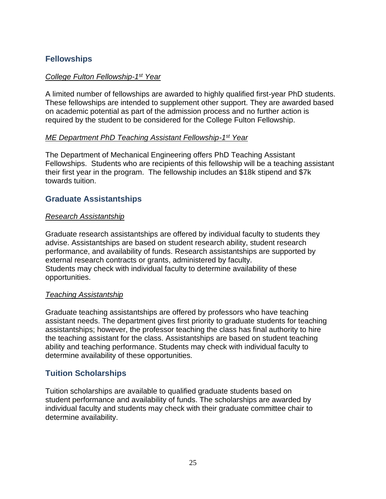## **Fellowships**

#### *College Fulton Fellowship-1 st Year*

A limited number of fellowships are awarded to highly qualified first-year PhD students. These fellowships are intended to supplement other support. They are awarded based on academic potential as part of the admission process and no further action is required by the student to be considered for the College Fulton Fellowship.

#### *ME Department PhD Teaching Assistant Fellowship-1 st Year*

The Department of Mechanical Engineering offers PhD Teaching Assistant Fellowships. Students who are recipients of this fellowship will be a teaching assistant their first year in the program. The fellowship includes an \$18k stipend and \$7k towards tuition.

#### **Graduate Assistantships**

#### *Research Assistantship*

Graduate research assistantships are offered by individual faculty to students they advise. Assistantships are based on student research ability, student research performance, and availability of funds. Research assistantships are supported by external research contracts or grants, administered by faculty. Students may check with individual faculty to determine availability of these opportunities.

#### *Teaching Assistantship*

Graduate teaching assistantships are offered by professors who have teaching assistant needs. The department gives first priority to graduate students for teaching assistantships; however, the professor teaching the class has final authority to hire the teaching assistant for the class. Assistantships are based on student teaching ability and teaching performance. Students may check with individual faculty to determine availability of these opportunities.

#### **Tuition Scholarships**

Tuition scholarships are available to qualified graduate students based on student performance and availability of funds. The scholarships are awarded by individual faculty and students may check with their graduate committee chair to determine availability.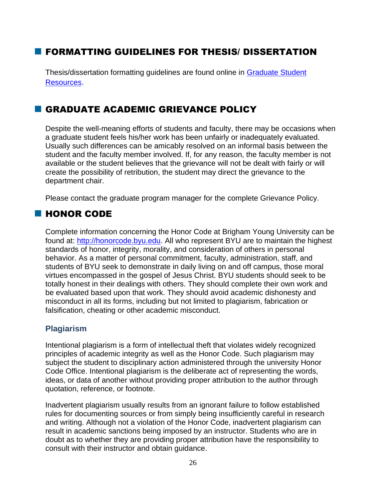## **FORMATTING GUIDELINES FOR THESIS/ DISSERTATION**

Thesis/dissertation formatting guidelines are found online in Graduate Student Resources.

## GRADUATE ACADEMIC GRIEVANCE POLICY

Despite the well-meaning efforts of students and faculty, there may be occasions when a graduate student feels his/her work has been unfairly or inadequately evaluated. Usually such differences can be amicably resolved on an informal basis between the student and the faculty member involved. If, for any reason, the faculty member is not available or the student believes that the grievance will not be dealt with fairly or will create the possibility of retribution, the student may direct the grievance to the department chair.

Please contact the graduate program manager for the complete Grievance Policy.

## **HONOR CODE**

Complete information concerning the Honor Code at Brigham Young University can be found at: http://honorcode.byu.edu. All who represent BYU are to maintain the highest standards of honor, integrity, morality, and consideration of others in personal behavior. As a matter of personal commitment, faculty, administration, staff, and students of BYU seek to demonstrate in daily living on and off campus, those moral virtues encompassed in the gospel of Jesus Christ. BYU students should seek to be totally honest in their dealings with others. They should complete their own work and be evaluated based upon that work. They should avoid academic dishonesty and misconduct in all its forms, including but not limited to plagiarism, fabrication or falsification, cheating or other academic misconduct.

#### **Plagiarism**

Intentional plagiarism is a form of intellectual theft that violates widely recognized principles of academic integrity as well as the Honor Code. Such plagiarism may subject the student to disciplinary action administered through the university Honor Code Office. Intentional plagiarism is the deliberate act of representing the words, ideas, or data of another without providing proper attribution to the author through quotation, reference, or footnote.

Inadvertent plagiarism usually results from an ignorant failure to follow established rules for documenting sources or from simply being insufficiently careful in research and writing. Although not a violation of the Honor Code, inadvertent plagiarism can result in academic sanctions being imposed by an instructor. Students who are in doubt as to whether they are providing proper attribution have the responsibility to consult with their instructor and obtain guidance.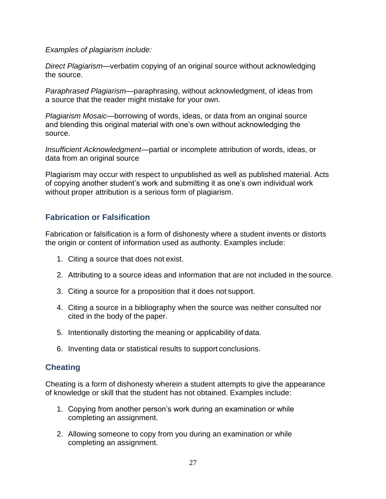*Examples of plagiarism include:*

*Direct Plagiarism*—verbatim copying of an original source without acknowledging the source.

*Paraphrased Plagiarism*—paraphrasing, without acknowledgment, of ideas from a source that the reader might mistake for your own.

*Plagiarism Mosaic*—borrowing of words, ideas, or data from an original source and blending this original material with one's own without acknowledging the source.

*Insufficient Acknowledgment*—partial or incomplete attribution of words, ideas, or data from an original source

Plagiarism may occur with respect to unpublished as well as published material. Acts of copying another student's work and submitting it as one's own individual work without proper attribution is a serious form of plagiarism.

## **Fabrication or Falsification**

Fabrication or falsification is a form of dishonesty where a student invents or distorts the origin or content of information used as authority. Examples include:

- 1. Citing a source that does not exist.
- 2. Attributing to a source ideas and information that are not included in the source.
- 3. Citing a source for a proposition that it does not support.
- 4. Citing a source in a bibliography when the source was neither consulted nor cited in the body of the paper.
- 5. Intentionally distorting the meaning or applicability of data.
- 6. Inventing data or statistical results to support conclusions.

#### **Cheating**

Cheating is a form of dishonesty wherein a student attempts to give the appearance of knowledge or skill that the student has not obtained. Examples include:

- 1. Copying from another person's work during an examination or while completing an assignment.
- 2. Allowing someone to copy from you during an examination or while completing an assignment.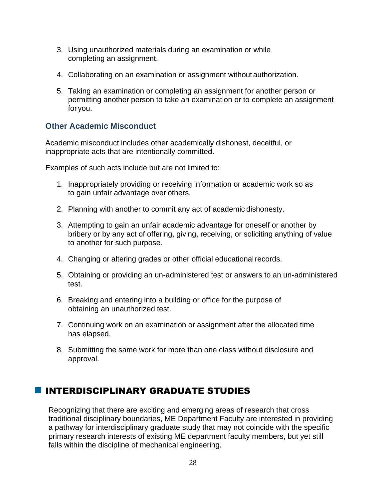- 3. Using unauthorized materials during an examination or while completing an assignment.
- 4. Collaborating on an examination or assignment withoutauthorization.
- 5. Taking an examination or completing an assignment for another person or permitting another person to take an examination or to complete an assignment for you.

#### **Other Academic Misconduct**

Academic misconduct includes other academically dishonest, deceitful, or inappropriate acts that are intentionally committed.

Examples of such acts include but are not limited to:

- 1. Inappropriately providing or receiving information or academic work so as to gain unfair advantage over others.
- 2. Planning with another to commit any act of academic dishonesty.
- 3. Attempting to gain an unfair academic advantage for oneself or another by bribery or by any act of offering, giving, receiving, or soliciting anything of value to another for such purpose.
- 4. Changing or altering grades or other official educationalrecords.
- 5. Obtaining or providing an un-administered test or answers to an un-administered test.
- 6. Breaking and entering into a building or office for the purpose of obtaining an unauthorized test.
- 7. Continuing work on an examination or assignment after the allocated time has elapsed.
- 8. Submitting the same work for more than one class without disclosure and approval.

## **INTERDISCIPLINARY GRADUATE STUDIES**

Recognizing that there are exciting and emerging areas of research that cross traditional disciplinary boundaries, ME Department Faculty are interested in providing a pathway for interdisciplinary graduate study that may not coincide with the specific primary research interests of existing ME department faculty members, but yet still falls within the discipline of mechanical engineering.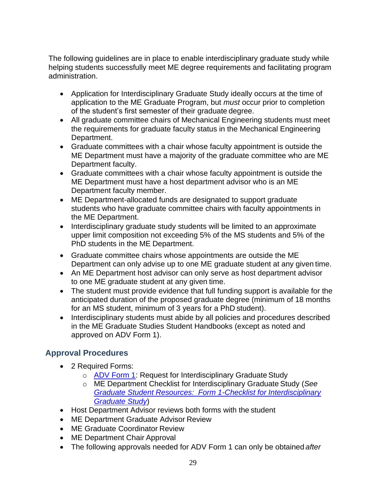The following guidelines are in place to enable interdisciplinary graduate study while helping students successfully meet ME degree requirements and facilitating program administration.

- Application for Interdisciplinary Graduate Study ideally occurs at the time of application to the ME Graduate Program, but *must* occur prior to completion of the student's first semester of their graduate degree.
- All graduate committee chairs of Mechanical Engineering students must meet the requirements for graduate faculty status in the Mechanical Engineering Department.
- Graduate committees with a chair whose faculty appointment is outside the ME Department must have a majority of the graduate committee who are ME Department faculty.
- Graduate committees with a chair whose faculty appointment is outside the ME Department must have a host department advisor who is an ME Department faculty member.
- ME Department-allocated funds are designated to support graduate students who have graduate committee chairs with faculty appointments in the ME Department.
- Interdisciplinary graduate study students will be limited to an approximate upper limit composition not exceeding 5% of the MS students and 5% of the PhD students in the ME Department.
- Graduate committee chairs whose appointments are outside the ME Department can only advise up to one ME graduate student at any given time.
- An ME Department host advisor can only serve as host department advisor to one ME graduate student at any given time.
- The student must provide evidence that full funding support is available for the anticipated duration of the proposed graduate degree (minimum of 18 months for an MS student, minimum of 3 years for a PhD student).
- Interdisciplinary students must abide by all policies and procedures described in the ME Graduate Studies Student Handbooks (except as noted and approved on ADV Form 1).

## **Approval Procedures**

- 2 Required Forms:
	- o ADV Form 1: Request for Interdisciplinary Graduate Study
	- o ME Department Checklist for Interdisciplinary Graduate Study (*See Graduate Student Resources: Form 1-Checklist for Interdisciplinary Graduate Study*)
- Host Department Advisor reviews both forms with the student
- ME Department Graduate Advisor Review
- ME Graduate Coordinator Review
- ME Department Chair Approval
- The following approvals needed for ADV Form 1 can only be obtained *after*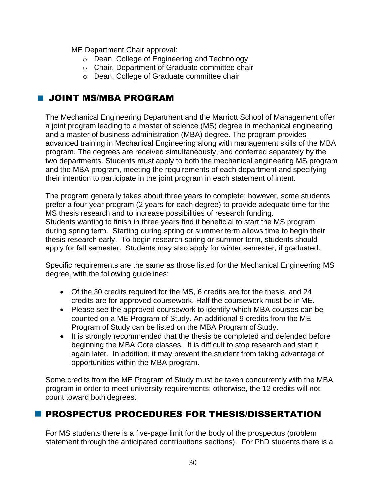ME Department Chair approval:

- o Dean, College of Engineering and Technology
- o Chair, Department of Graduate committee chair
- o Dean, College of Graduate committee chair

## **U JOINT MS/MBA PROGRAM**

The Mechanical Engineering Department and the Marriott School of Management offer a joint program leading to a master of science (MS) degree in mechanical engineering and a master of business administration (MBA) degree. The program provides advanced training in Mechanical Engineering along with management skills of the MBA program. The degrees are received simultaneously, and conferred separately by the two departments. Students must apply to both the mechanical engineering MS program and the MBA program, meeting the requirements of each department and specifying their intention to participate in the joint program in each statement of intent.

The program generally takes about three years to complete; however, some students prefer a four-year program (2 years for each degree) to provide adequate time for the MS thesis research and to increase possibilities of research funding. Students wanting to finish in three years find it beneficial to start the MS program during spring term. Starting during spring or summer term allows time to begin their thesis research early. To begin research spring or summer term, students should apply for fall semester. Students may also apply for winter semester, if graduated.

Specific requirements are the same as those listed for the Mechanical Engineering MS degree, with the following guidelines:

- Of the 30 credits required for the MS, 6 credits are for the thesis, and 24 credits are for approved coursework. Half the coursework must be in ME.
- Please see the approved coursework to identify which MBA courses can be counted on a ME Program of Study. An additional 9 credits from the ME Program of Study can be listed on the MBA Program of Study.
- It is strongly recommended that the thesis be completed and defended before beginning the MBA Core classes. It is difficult to stop research and start it again later. In addition, it may prevent the student from taking advantage of opportunities within the MBA program.

Some credits from the ME Program of Study must be taken concurrently with the MBA program in order to meet university requirements; otherwise, the 12 credits will not count toward both degrees.

## **PROSPECTUS PROCEDURES FOR THESIS/DISSERTATION**

For MS students there is a five-page limit for the body of the prospectus (problem statement through the anticipated contributions sections). For PhD students there is a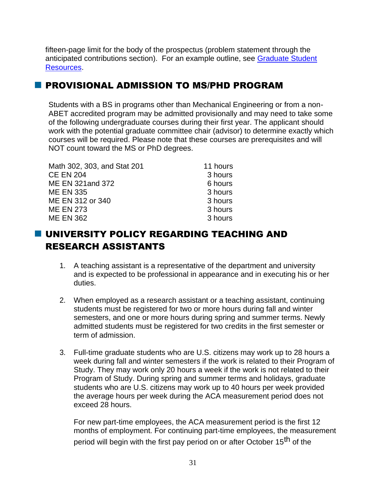fifteen-page limit for the body of the prospectus (problem statement through the anticipated contributions section). For an example outline, see Graduate Student Resources.

## PROVISIONAL ADMISSION TO MS/PHD PROGRAM

Students with a BS in programs other than Mechanical Engineering or from a non-ABET accredited program may be admitted provisionally and may need to take some of the following undergraduate courses during their first year. The applicant should work with the potential graduate committee chair (advisor) to determine exactly which courses will be required. Please note that these courses are prerequisites and will NOT count toward the MS or PhD degrees.

| Math 302, 303, and Stat 201 | 11 hours |
|-----------------------------|----------|
| <b>CE EN 204</b>            | 3 hours  |
| ME EN 321 and 372           | 6 hours  |
| <b>ME EN 335</b>            | 3 hours  |
| ME EN 312 or 340            | 3 hours  |
| <b>ME EN 273</b>            | 3 hours  |
| <b>ME EN 362</b>            | 3 hours  |

## UNIVERSITY POLICY REGARDING TEACHING AND RESEARCH ASSISTANTS

- 1. A teaching assistant is a representative of the department and university and is expected to be professional in appearance and in executing his or her duties.
- 2. When employed as a research assistant or a teaching assistant, continuing students must be registered for two or more hours during fall and winter semesters, and one or more hours during spring and summer terms. Newly admitted students must be registered for two credits in the first semester or term of admission.
- 3. Full-time graduate students who are U.S. citizens may work up to 28 hours a week during fall and winter semesters if the work is related to their Program of Study. They may work only 20 hours a week if the work is not related to their Program of Study. During spring and summer terms and holidays, graduate students who are U.S. citizens may work up to 40 hours per week provided the average hours per week during the ACA measurement period does not exceed 28 hours.

For new part-time employees, the ACA measurement period is the first 12 months of employment. For continuing part-time employees, the measurement period will begin with the first pay period on or after October 15<sup>th</sup> of the